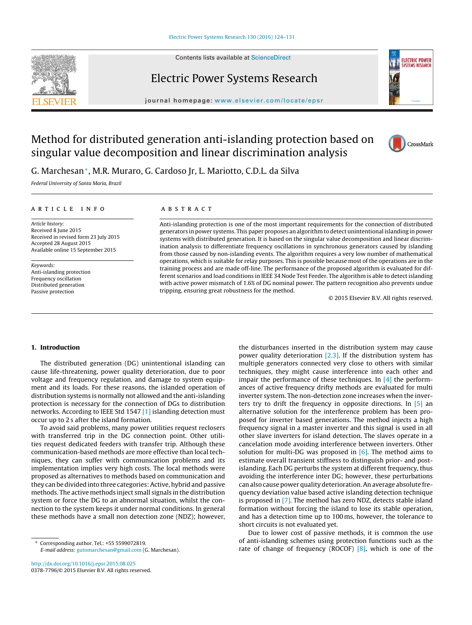Contents lists available at [ScienceDirect](http://www.sciencedirect.com/science/journal/03787796)







iournal homepage: [www.elsevier.com/locate/epsr](http://www.elsevier.com/locate/epsr)

# Method for distributed generation anti-islanding protection based on singular value decomposition and linear discrimination analysis



G. Marchesan∗, M.R. Muraro, G. Cardoso Jr, L. Mariotto, C.D.L. da Silva

Federal University of Santa Maria, Brazil

### a r t i c l e i n f o

Article history: Received 8 June 2015 Received in revised form 23 July 2015 Accepted 28 August 2015 Available online 15 September 2015

Keywords: Anti-islanding protection Frequency oscillation Distributed generation Passive protection

## A B S T R A C T

Anti-islanding protection is one of the most important requirements for the connection of distributed generators in power systems. This paper proposes an algorithm to detect unintentional islanding in power systems with distributed generation. It is based on the singular value decomposition and linear discrimination analysis to differentiate frequency oscillations in synchronous generators caused by islanding from those caused by non-islanding events. The algorithm requires a very low number of mathematical operations, which is suitable for relay purposes. This is possible because most of the operations are in the training process and are made off-line. The performance of the proposed algorithm is evaluated for different scenarios and load conditions in IEEE 34 Node Test Feeder. The algorithm is able to detect islanding with active power mismatch of 1.6% of DG nominal power. The pattern recognition also prevents undue tripping, ensuring great robustness for the method.

© 2015 Elsevier B.V. All rights reserved.

#### **1. Introduction**

The distributed generation (DG) unintentional islanding can cause life-threatening, power quality deterioration, due to poor voltage and frequency regulation, and damage to system equipment and its loads. For these reasons, the islanded operation of distribution systems is normally not allowed and the anti-islanding protection is necessary for the connection of DGs to distribution networks. According to IEEE Std 1547 [\[1\]](#page--1-0) islanding detection must occur up to 2 s after the island formation.

To avoid said problems, many power utilities request reclosers with transferred trip in the DG connection point. Other utilities request dedicated feeders with transfer trip. Although these communication-based methods are more effective than local techniques, they can suffer with communication problems and its implementation implies very high costs. The local methods were proposed as alternatives to methods based on communication and they can be divided into three categories: Active, hybrid and passive methods. The active methods inject small signals in the distribution system or force the DG to an abnormal situation, whilst the connection to the system keeps it under normal conditions. In general these methods have a small non detection zone (NDZ); however,

∗ Corresponding author. Tel.: +55 5599072819. E-mail address: [gutomarchesan@gmail.com](mailto:gutomarchesan@gmail.com) (G. Marchesan).

[http://dx.doi.org/10.1016/j.epsr.2015.08.025](dx.doi.org/10.1016/j.epsr.2015.08.025) 0378-7796/© 2015 Elsevier B.V. All rights reserved.

the disturbances inserted in the distribution system may cause power quality deterioration  $[2,3]$ . If the distribution system has multiple generators connected very close to others with similar techniques, they might cause interference into each other and impair the performance of these techniques. In  $[4]$  the performances of active frequency drifty methods are evaluated for multi inverter system. The non-detection zone increases when the inverters try to drift the frequency in opposite directions. In  $\overline{5}$  an alternative solution for the interference problem has been proposed for inverter based generations. The method injects a high frequency signal in a master inverter and this signal is used in all other slave inverters for island detection. The slaves operate in a cancelation mode avoiding interference between inverters. Other solution for multi-DG was proposed in  $[6]$ . The method aims to estimate overall transient stiffness to distinguish prior- and postislanding. Each DG perturbs the system at different frequency, thus avoiding the interference inter DG; however, these perturbations can also cause power quality deterioration.An average absolute frequency deviation value based active islanding detection technique is proposed in [\[7\].](#page--1-0) The method has zero NDZ, detects stable island formation without forcing the island to lose its stable operation, and has a detection time up to 100 ms, however, the tolerance to short circuits is not evaluated yet.

Due to lower cost of passive methods, it is common the use of anti-islanding schemes using protection functions such as the rate of change of frequency (ROCOF)  $[8]$ , which is one of the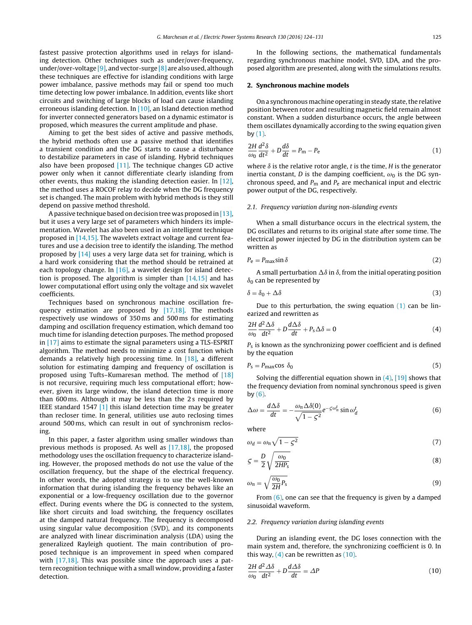fastest passive protection algorithms used in relays for islanding detection. Other techniques such as under/over-frequency, under/over-voltage [\[9\],](#page--1-0) and vector-surge [\[8\]](#page--1-0) are also used, although these techniques are effective for islanding conditions with large power imbalance, passive methods may fail or spend too much time detecting low power imbalance. In addition, events like short circuits and switching of large blocks of load can cause islanding erroneous islanding detection. In [\[10\],](#page--1-0) an Island detection method for inverter connected generators based on a dynamic estimator is proposed, which measures the current amplitude and phase.

Aiming to get the best sides of active and passive methods, the hybrid methods often use a passive method that identifies a transient condition and the DG starts to cause a disturbance to destabilize parameters in case of islanding. Hybrid techniques also have been proposed [\[11\].](#page--1-0) The technique changes GD active power only when it cannot differentiate clearly islanding from other events, thus making the islanding detection easier. In [\[12\],](#page--1-0) the method uses a ROCOF relay to decide when the DG frequency set is changed. The main problem with hybrid methods is they still depend on passive method threshold.

A passive technique based on decision tree was proposed in  $[13]$ , but it uses a very large set of parameters which hinders its implementation. Wavelet has also been used in an intelligent technique proposed in [\[14,15\].](#page--1-0) The wavelets extract voltage and current features and use a decision tree to identify the islanding. The method proposed by [\[14\]](#page--1-0) uses a very large data set for training, which is a hard work considering that the method should be retrained at each topology change. In [\[16\],](#page--1-0) a wavelet design for island detection is proposed. The algorithm is simpler than  $[14,15]$  and has lower computational effort using only the voltage and six wavelet coefficients.

Techniques based on synchronous machine oscillation frequency estimation are proposed by [\[17,18\].](#page--1-0) The methods respectively use windows of 350 ms and 500 ms for estimating damping and oscillation frequency estimation, which demand too much time for islanding detection purposes. The method proposed in [\[17\]](#page--1-0) aims to estimate the signal parameters using a TLS-ESPRIT algorithm. The method needs to minimize a cost function which demands a relatively high processing time. In [\[18\],](#page--1-0) a different solution for estimating damping and frequency of oscillation is proposed using Tufts–Kumaresan method. The method of [\[18\]](#page--1-0) is not recursive, requiring much less computational effort; however, given its large window, the island detection time is more than 600 ms. Although it may be less than the 2 s required by IEEE standard 1547 [\[1\]](#page--1-0) this island detection time may be greater than recloser time. In general, utilities use auto reclosing times around 500 ms, which can result in out of synchronism reclosing.

In this paper, a faster algorithm using smaller windows than previous methods is proposed. As well as [\[17,18\],](#page--1-0) the proposed methodology uses the oscillation frequency to characterize islanding. However, the proposed methods do not use the value of the oscillation frequency, but the shape of the electrical frequency. In other words, the adopted strategy is to use the well-known information that during islanding the frequency behaves like an exponential or a low-frequency oscillation due to the governor effect. During events where the DG is connected to the system, like short circuits and load switching, the frequency oscillates at the damped natural frequency. The frequency is decomposed using singular value decomposition (SVD), and its components are analyzed with linear discrimination analysis (LDA) using the generalized Rayleigh quotient. The main contribution of proposed technique is an improvement in speed when compared with [\[17,18\].](#page--1-0) This was possible since the approach uses a pattern recognition technique with a small window, providing a faster detection.

In the following sections, the mathematical fundamentals regarding synchronous machine model, SVD, LDA, and the proposed algorithm are presented, along with the simulations results.

#### **2. Synchronous machine models**

On a synchronous machine operating in steady state, the relative position between rotor and resulting magnetic field remain almost constant. When a sudden disturbance occurs, the angle between them oscillates dynamically according to the swing equation given  $bv(1)$ .

$$
\frac{2H}{\omega_0}\frac{d^2\delta}{dt^2} + D\frac{d\delta}{dt} = P_m - P_e
$$
\n(1)

where  $\delta$  is the relative rotor angle, t is the time, H is the generator inertia constant, D is the damping coefficient,  $\omega_0$  is the DG synchronous speed, and  $P_m$  and  $P_e$  are mechanical input and electric power output of the DG, respectively.

#### 2.1. Frequency variation during non-islanding events

When a small disturbance occurs in the electrical system, the DG oscillates and returns to its original state after some time. The electrical power injected by DG in the distribution system can be written as

$$
P_{\rm e} = P_{\rm max} \sin \delta \tag{2}
$$

A small perturbation  $\Delta \delta$  in  $\delta$ , from the initial operating position  $\delta_0$  can be represented by

$$
\delta = \delta_0 + \Delta \delta \tag{3}
$$

Due to this perturbation, the swing equation  $(1)$  can be linearized and rewritten as

$$
\frac{2H}{\omega_0}\frac{d^2\Delta\delta}{dt^2} + D\frac{d\Delta\delta}{dt} + P_s\Delta\delta = 0
$$
\n(4)

 $P<sub>s</sub>$  is known as the synchronizing power coefficient and is defined by the equation

$$
P_{\rm s} = P_{\rm max} \cos \delta_0 \tag{5}
$$

Solving the differential equation shown in  $(4)$ ,  $[19]$  shows that the frequency deviation from nominal synchronous speed is given by  $(6)$ .

$$
\Delta \omega = \frac{d\Delta \delta}{dt} = -\frac{\omega_n \Delta \delta(0)}{\sqrt{1 - \varsigma^2}} e^{-\varsigma \omega_n^t} \sin \omega_d^t \tag{6}
$$

where

$$
\omega_d = \omega_n \sqrt{1 - \zeta^2} \tag{7}
$$

$$
\zeta = \frac{D}{2} \sqrt{\frac{\omega_0}{2HP_s}}
$$
\n(8)

$$
\omega_n = \sqrt{\frac{\omega_0}{2H} P_s} \tag{9}
$$

From  $(6)$ , one can see that the frequency is given by a damped sinusoidal waveform.

#### 2.2. Frequency variation during islanding events

During an islanding event, the DG loses connection with the main system and, therefore, the synchronizing coefficient is 0. In this way,  $(4)$  can be rewritten as  $(10)$ .

$$
\frac{2H}{\omega_0} \frac{d^2 \Delta \delta}{dt^2} + D \frac{d \Delta \delta}{dt} = \Delta P \tag{10}
$$